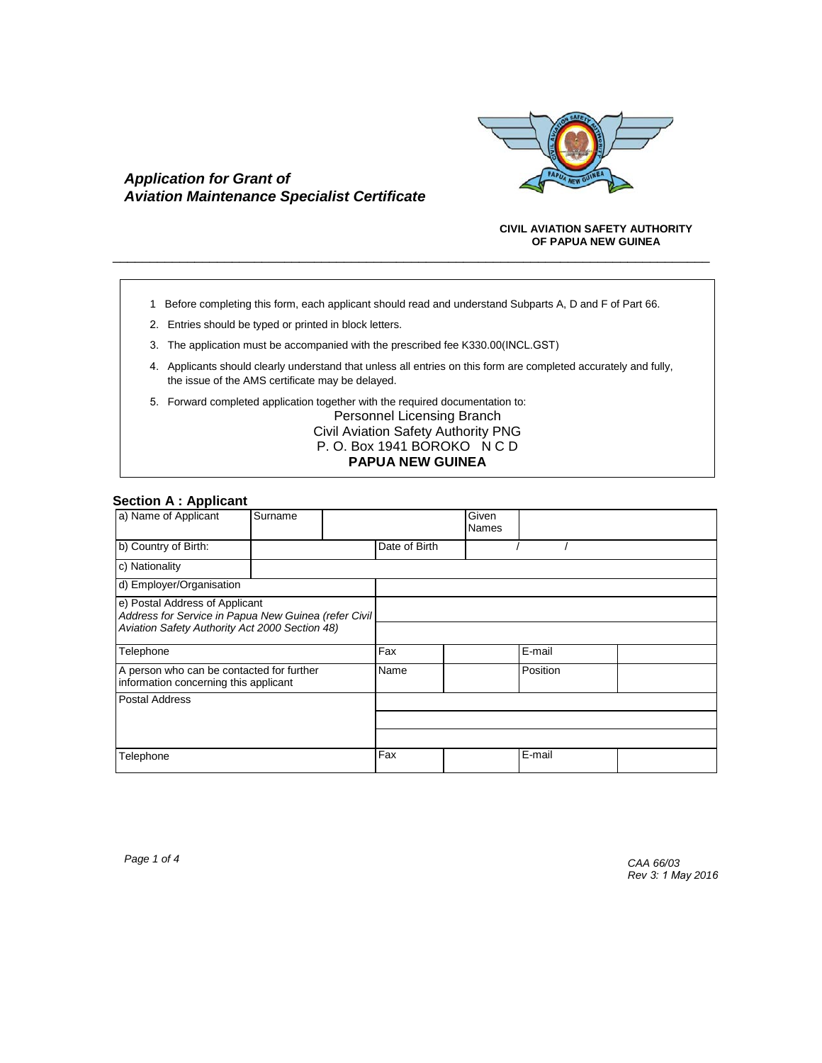

# *Application for Grant of Aviation Maintenance Specialist Certificate*

### **CIVIL AVIATION SAFETY AUTHORITY OF PAPUA NEW GUINEA**

1 Before completing this form, each applicant should read and understand Subparts A, D and F of Part 66.

\_\_\_\_\_\_\_\_\_\_\_\_\_\_\_\_\_\_\_\_\_\_\_\_\_\_\_\_\_\_\_\_\_\_\_\_\_\_\_\_\_\_\_\_\_\_\_\_\_\_\_\_\_\_\_\_\_\_\_\_\_\_\_\_\_\_\_\_\_\_\_\_\_\_\_\_\_\_\_\_

- 2. Entries should be typed or printed in block letters.
- 3. The application must be accompanied with the prescribed fee K330.00(INCL.GST)
- 4. Applicants should clearly understand that unless all entries on this form are completed accurately and fully, the issue of the AMS certificate may be delayed.
- 5. Forward completed application together with the required documentation to:

Personnel Licensing Branch Civil Aviation Safety Authority PNG P. O. Box 1941 BOROKO N C D **PAPUA NEW GUINEA**

## **Section A : Applicant**

| a) Name of Applicant                                                                   | Surname |      |               | Given<br><b>Names</b> |        |  |
|----------------------------------------------------------------------------------------|---------|------|---------------|-----------------------|--------|--|
| b) Country of Birth:                                                                   |         |      | Date of Birth |                       |        |  |
| c) Nationality                                                                         |         |      |               |                       |        |  |
| d) Employer/Organisation                                                               |         |      |               |                       |        |  |
| e) Postal Address of Applicant<br>Address for Service in Papua New Guinea (refer Civil |         |      |               |                       |        |  |
| Aviation Safety Authority Act 2000 Section 48)                                         |         |      |               |                       |        |  |
| Telephone                                                                              |         | Fax  |               | E-mail                |        |  |
| A person who can be contacted for further<br>information concerning this applicant     |         | Name |               | Position              |        |  |
| <b>Postal Address</b>                                                                  |         |      |               |                       |        |  |
|                                                                                        |         |      |               |                       |        |  |
|                                                                                        |         |      |               |                       |        |  |
| Telephone                                                                              |         |      | Fax           |                       | E-mail |  |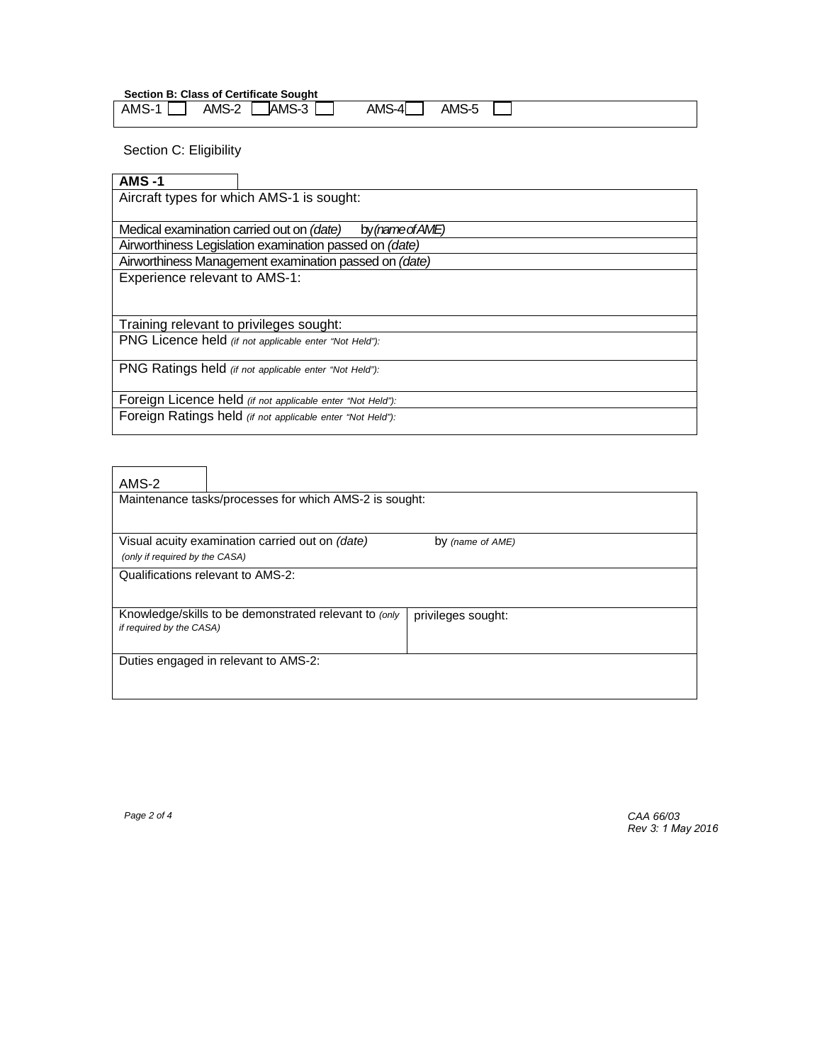**Section B: Class of Certificate Sought**

| AMS- | AMS-3<br>AMS-2 | AMS-4<br>AMS-5 |  |
|------|----------------|----------------|--|
|      |                |                |  |

Section C: Eligibility

| $AMS -1$                                                      |  |  |  |  |
|---------------------------------------------------------------|--|--|--|--|
| Aircraft types for which AMS-1 is sought:                     |  |  |  |  |
|                                                               |  |  |  |  |
| Medical examination carried out on (date)<br>by (name of AME) |  |  |  |  |
| Airworthiness Legislation examination passed on (date)        |  |  |  |  |
| Airworthiness Management examination passed on (date)         |  |  |  |  |
| Experience relevant to AMS-1:                                 |  |  |  |  |
|                                                               |  |  |  |  |
|                                                               |  |  |  |  |
| Training relevant to privileges sought:                       |  |  |  |  |
| PNG Licence held (if not applicable enter "Not Held"):        |  |  |  |  |
|                                                               |  |  |  |  |
| PNG Ratings held (if not applicable enter "Not Held"):        |  |  |  |  |
|                                                               |  |  |  |  |
| Foreign Licence held (if not applicable enter "Not Held"):    |  |  |  |  |
| Foreign Ratings held (if not applicable enter "Not Held"):    |  |  |  |  |
|                                                               |  |  |  |  |

| AMS-2<br>Maintenance tasks/processes for which AMS-2 is sought: |                                                       |                    |  |  |  |  |
|-----------------------------------------------------------------|-------------------------------------------------------|--------------------|--|--|--|--|
| (only if required by the CASA)                                  | Visual acuity examination carried out on (date)       | by (name of AME)   |  |  |  |  |
|                                                                 | Qualifications relevant to AMS-2:                     |                    |  |  |  |  |
| if required by the CASA)                                        | Knowledge/skills to be demonstrated relevant to (only | privileges sought: |  |  |  |  |
|                                                                 | Duties engaged in relevant to AMS-2:                  |                    |  |  |  |  |

*Page 2 of 4 CAA 66/03 Rev 3: 1 May 2016*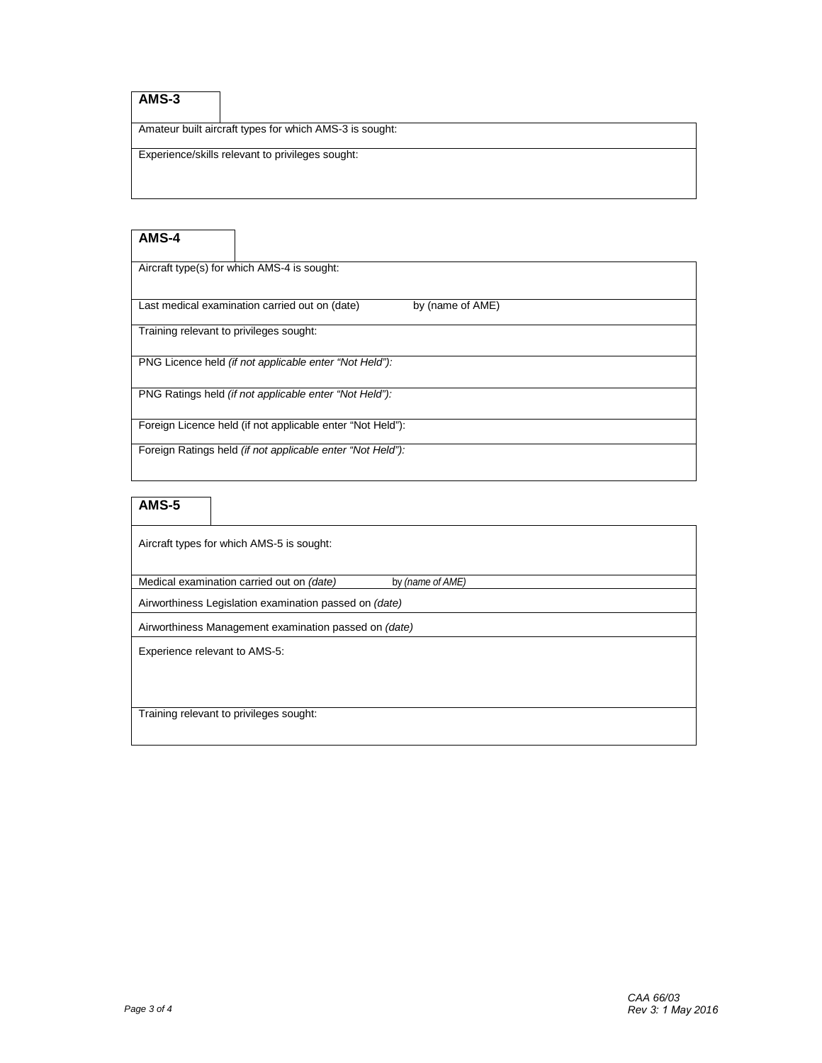# **AMS-3**

Amateur built aircraft types for which AMS-3 is sought:

Experience/skills relevant to privileges sought:

## **AMS-4**

Aircraft type(s) for which AMS-4 is sought:

Last medical examination carried out on (date) by (name of AME)

Training relevant to privileges sought:

PNG Licence held *(if not applicable enter "Not Held"):* 

PNG Ratings held *(if not applicable enter "Not Held"):*

Foreign Licence held (if not applicable enter "Not Held"):

Foreign Ratings held *(if not applicable enter "Not Held"):*

## **AMS-5**

Aircraft types for which AMS-5 is sought:

Medical examination carried out on *(date)* by *(name of AME)*

Airworthiness Legislation examination passed on *(date)* 

Airworthiness Management examination passed on *(date)*

Experience relevant to AMS-5:

Training relevant to privileges sought: